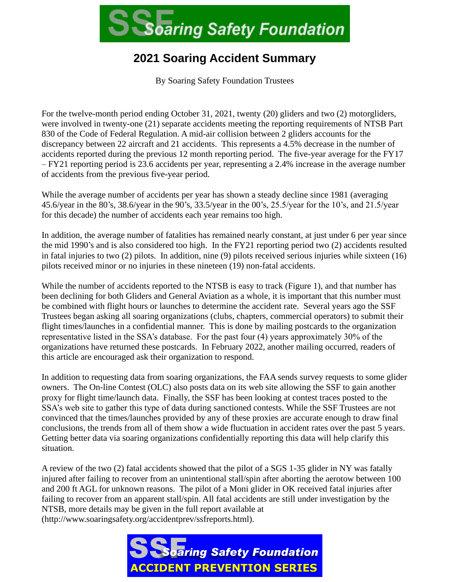

## **2021 Soaring Accident Summary**

By Soaring Safety Foundation Trustees

For the twelve-month period ending October 31, 2021, twenty (20) gliders and two (2) motorgliders, were involved in twenty-one (21) separate accidents meeting the reporting requirements of NTSB Part 830 of the Code of Federal Regulation. A mid-air collision between 2 gliders accounts for the discrepancy between 22 aircraft and 21 accidents. This represents a 4.5% decrease in the number of accidents reported during the previous 12 month reporting period. The five-year average for the FY17 – FY21 reporting period is 23.6 accidents per year, representing a 2.4% increase in the average number of accidents from the previous five-year period.

While the average number of accidents per year has shown a steady decline since 1981 (averaging 45.6/year in the 80's, 38.6/year in the 90's, 33.5/year in the 00's, 25.5/year for the 10's, and 21.5/year for this decade) the number of accidents each year remains too high.

In addition, the average number of fatalities has remained nearly constant, at just under 6 per year since the mid 1990's and is also considered too high. In the FY21 reporting period two (2) accidents resulted in fatal injuries to two (2) pilots. In addition, nine (9) pilots received serious injuries while sixteen (16) pilots received minor or no injuries in these nineteen (19) non-fatal accidents.

While the number of accidents reported to the NTSB is easy to track (Figure 1), and that number has been declining for both Gliders and General Aviation as a whole, it is important that this number must be combined with flight hours or launches to determine the accident rate. Several years ago the SSF Trustees began asking all soaring organizations (clubs, chapters, commercial operators) to submit their flight times/launches in a confidential manner. This is done by mailing postcards to the organization representative listed in the SSA's database. For the past four (4) years approximately 30% of the organizations have returned these postcards. In February 2022, another mailing occurred, readers of this article are encouraged ask their organization to respond.

In addition to requesting data from soaring organizations, the FAA sends survey requests to some glider owners. The On-line Contest (OLC) also posts data on its web site allowing the SSF to gain another proxy for flight time/launch data. Finally, the SSF has been looking at contest traces posted to the SSA's web site to gather this type of data during sanctioned contests. While the SSF Trustees are not convinced that the times/launches provided by any of these proxies are accurate enough to draw final conclusions, the trends from all of them show a wide fluctuation in accident rates over the past 5 years. Getting better data via soaring organizations confidentially reporting this data will help clarify this situation.

A review of the two (2) fatal accidents showed that the pilot of a SGS 1-35 glider in NY was fatally injured after failing to recover from an unintentional stall/spin after aborting the aerotow between 100 and 200 ft AGL for unknown reasons. The pilot of a Moni glider in OK received fatal injuries after failing to recover from an apparent stall/spin. All fatal accidents are still under investigation by the NTSB, more details may be given in the full report available at (http://www.soaringsafety.org/accidentprev/ssfreports.html).